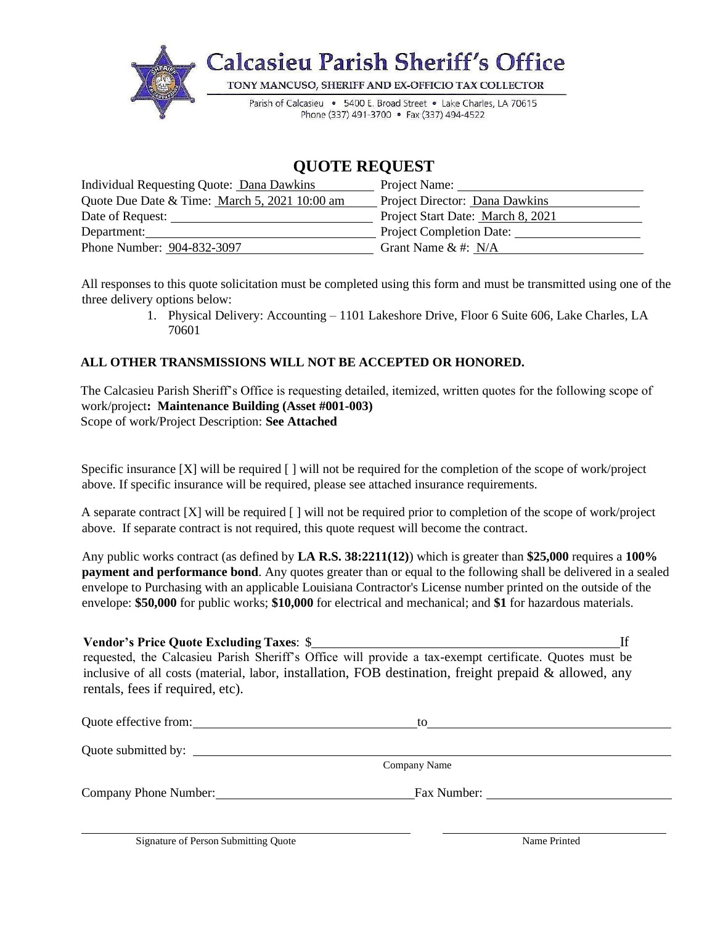

## **QUOTE REQUEST**

| Individual Requesting Quote: Dana Dawkins     | Project Name:                                         |
|-----------------------------------------------|-------------------------------------------------------|
| Quote Due Date & Time: March 5, 2021 10:00 am | Project Director: Dana Dawkins                        |
| Date of Request:                              | Project Start Date: March 8, 2021                     |
| Department:                                   | <b>Project Completion Date:</b>                       |
| Phone Number: 904-832-3097                    | Grant Name $&#: N/A</math></td></tr></tbody></table>$ |

All responses to this quote solicitation must be completed using this form and must be transmitted using one of the three delivery options below:

> 1. Physical Delivery: Accounting – 1101 Lakeshore Drive, Floor 6 Suite 606, Lake Charles, LA 70601

#### **ALL OTHER TRANSMISSIONS WILL NOT BE ACCEPTED OR HONORED.**

The Calcasieu Parish Sheriff's Office is requesting detailed, itemized, written quotes for the following scope of work/project**: Maintenance Building (Asset #001-003)** Scope of work/Project Description: **See Attached**

Specific insurance [X] will be required [] will not be required for the completion of the scope of work/project above. If specific insurance will be required, please see attached insurance requirements.

A separate contract [X] will be required [ ] will not be required prior to completion of the scope of work/project above. If separate contract is not required, this quote request will become the contract.

Any public works contract (as defined by **LA R.S. 38:2211(12)**) which is greater than **\$25,000** requires a **100% payment and performance bond**. Any quotes greater than or equal to the following shall be delivered in a sealed envelope to Purchasing with an applicable Louisiana Contractor's License number printed on the outside of the envelope: **\$50,000** for public works; **\$10,000** for electrical and mechanical; and **\$1** for hazardous materials.

| <b>Vendor's Price Quote Excluding Taxes: \$</b>                                                           |  |
|-----------------------------------------------------------------------------------------------------------|--|
| requested, the Calcasieu Parish Sheriff's Office will provide a tax-exempt certificate. Quotes must be    |  |
| inclusive of all costs (material, labor, installation, FOB destination, freight prepaid $\&$ allowed, any |  |
| rentals, fees if required, etc).                                                                          |  |

| Quote effective from: | tο           |  |
|-----------------------|--------------|--|
| Quote submitted by:   |              |  |
|                       | Company Name |  |
| Company Phone Number: | Fax Number:  |  |
|                       |              |  |

Signature of Person Submitting Quote Name Printed Name Printed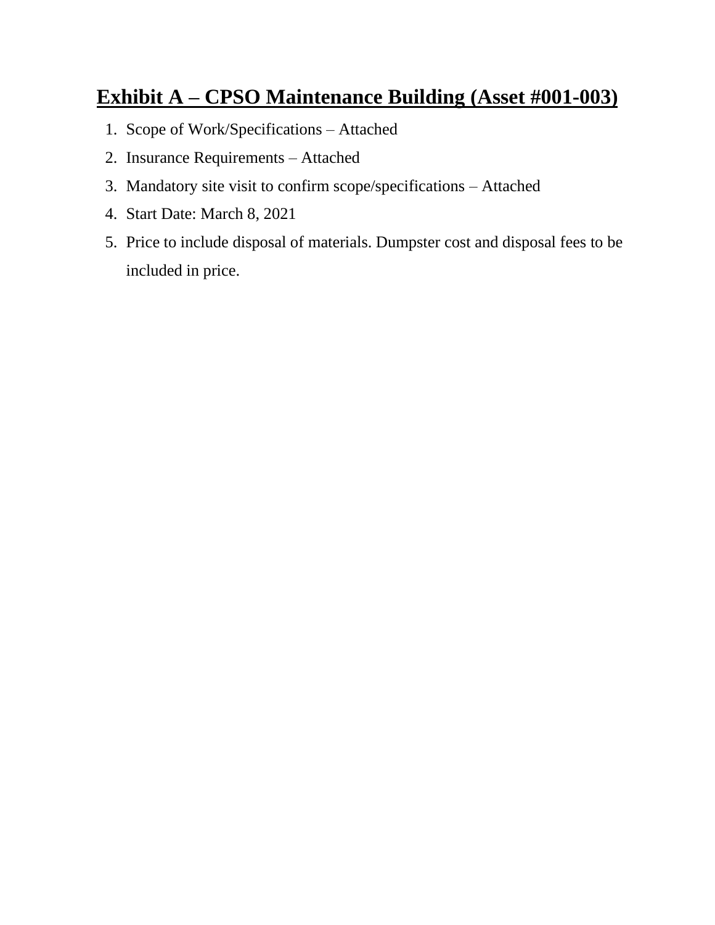# **Exhibit A – CPSO Maintenance Building (Asset #001-003)**

- 1. Scope of Work/Specifications Attached
- 2. Insurance Requirements Attached
- 3. Mandatory site visit to confirm scope/specifications Attached
- 4. Start Date: March 8, 2021
- 5. Price to include disposal of materials. Dumpster cost and disposal fees to be included in price.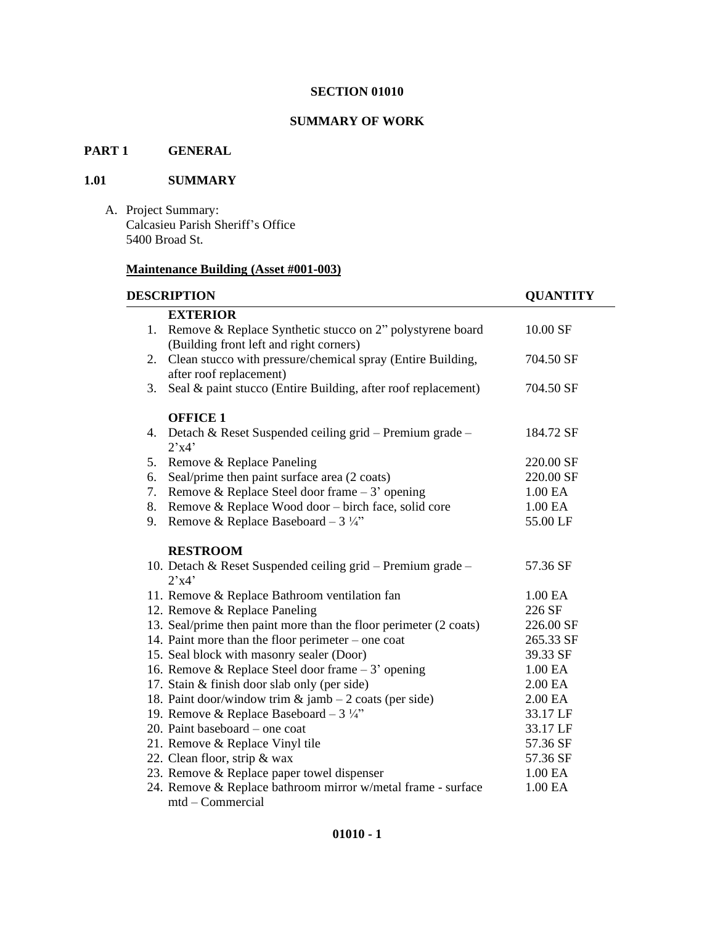#### **SUMMARY OF WORK**

## **PART 1 GENERAL**

#### **1.01 SUMMARY**

A. Project Summary: Calcasieu Parish Sheriff's Office 5400 Broad St.

## **Maintenance Building (Asset #001-003)**

| <b>DESCRIPTION</b> |                                                                   | <b>QUANTITY</b> |
|--------------------|-------------------------------------------------------------------|-----------------|
|                    | <b>EXTERIOR</b>                                                   |                 |
|                    | 1. Remove & Replace Synthetic stucco on 2" polystyrene board      | 10.00 SF        |
|                    | (Building front left and right corners)                           |                 |
| 2.                 | Clean stucco with pressure/chemical spray (Entire Building,       | 704.50 SF       |
|                    | after roof replacement)                                           |                 |
| 3.                 | Seal & paint stucco (Entire Building, after roof replacement)     | 704.50 SF       |
|                    | <b>OFFICE 1</b>                                                   |                 |
| 4.                 | Detach & Reset Suspended ceiling grid – Premium grade –<br>2'x4'  | 184.72 SF       |
| 5.                 | Remove & Replace Paneling                                         | 220.00 SF       |
| 6.                 | Seal/prime then paint surface area (2 coats)                      | 220.00 SF       |
| 7.                 | Remove & Replace Steel door frame $-3'$ opening                   | 1.00 EA         |
| 8.                 | Remove & Replace Wood door – birch face, solid core               | 1.00 EA         |
| 9.                 | Remove & Replace Baseboard - $3\frac{1}{4}$ "                     | 55.00 LF        |
|                    | <b>RESTROOM</b>                                                   |                 |
|                    | 10. Detach & Reset Suspended ceiling grid – Premium grade –       | 57.36 SF        |
|                    | 2'x4'                                                             |                 |
|                    | 11. Remove & Replace Bathroom ventilation fan                     | 1.00 EA         |
|                    | 12. Remove & Replace Paneling                                     | 226 SF          |
|                    | 13. Seal/prime then paint more than the floor perimeter (2 coats) | 226.00 SF       |
|                    | 14. Paint more than the floor perimeter – one coat                | 265.33 SF       |
|                    | 15. Seal block with masonry sealer (Door)                         | 39.33 SF        |
|                    | 16. Remove & Replace Steel door frame $-3'$ opening               | 1.00 EA         |
|                    | 17. Stain & finish door slab only (per side)                      | 2.00 EA         |
|                    | 18. Paint door/window trim $&$ jamb $-2$ coats (per side)         | 2.00 EA         |
|                    | 19. Remove & Replace Baseboard - $3\frac{1}{4}$ "                 | 33.17 LF        |
|                    | 20. Paint baseboard – one coat                                    | 33.17 LF        |
|                    | 21. Remove & Replace Vinyl tile                                   | 57.36 SF        |
|                    | 22. Clean floor, strip & wax                                      | 57.36 SF        |
|                    | 23. Remove & Replace paper towel dispenser                        | 1.00 EA         |
|                    | 24. Remove & Replace bathroom mirror w/metal frame - surface      | 1.00 EA         |
|                    | $mtd$ – Commercial                                                |                 |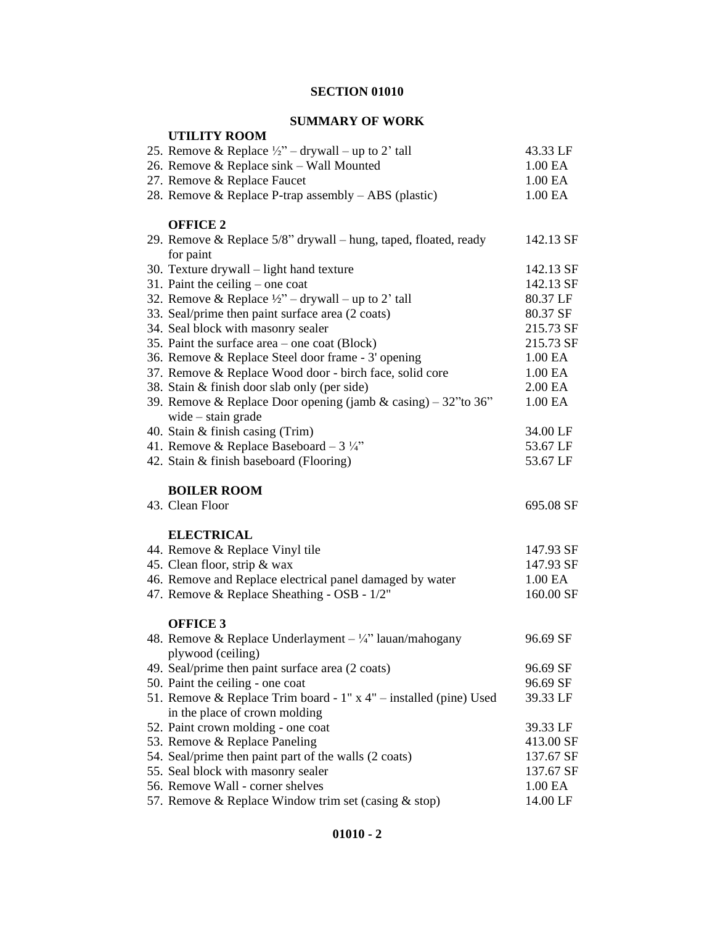## **SUMMARY OF WORK**

| <b>UTILITY ROOM</b>                                                                    |                    |
|----------------------------------------------------------------------------------------|--------------------|
| 25. Remove & Replace $\frac{1}{2}$ – drywall – up to 2' tall                           | 43.33 LF           |
| 26. Remove & Replace sink - Wall Mounted                                               | 1.00 EA            |
| 27. Remove & Replace Faucet                                                            | 1.00 EA            |
| 28. Remove & Replace P-trap assembly - ABS (plastic)                                   | 1.00 EA            |
| <b>OFFICE 2</b>                                                                        |                    |
| 29. Remove & Replace 5/8" drywall – hung, taped, floated, ready<br>for paint           | 142.13 SF          |
| 30. Texture drywall - light hand texture                                               | 142.13 SF          |
| 31. Paint the ceiling $-$ one coat                                                     | 142.13 SF          |
| 32. Remove & Replace $\frac{1}{2}$ – drywall – up to 2' tall                           | 80.37 LF           |
| 33. Seal/prime then paint surface area (2 coats)                                       | 80.37 SF           |
| 34. Seal block with masonry sealer                                                     | 215.73 SF          |
| 35. Paint the surface area $-$ one coat (Block)                                        | 215.73 SF          |
| 36. Remove & Replace Steel door frame - 3' opening                                     | 1.00 EA            |
| 37. Remove & Replace Wood door - birch face, solid core                                | 1.00 EA            |
| 38. Stain & finish door slab only (per side)                                           | 2.00 EA            |
| 39. Remove & Replace Door opening (jamb & casing) – 32" to 36"<br>wide $-$ stain grade | 1.00 EA            |
| 40. Stain & finish casing (Trim)                                                       | 34.00 LF           |
| 41. Remove & Replace Baseboard - $3\frac{1}{4}$ "                                      | 53.67 LF           |
| 42. Stain & finish baseboard (Flooring)                                                | 53.67 LF           |
| <b>BOILER ROOM</b>                                                                     |                    |
| 43. Clean Floor                                                                        | 695.08 SF          |
| <b>ELECTRICAL</b>                                                                      |                    |
| 44. Remove & Replace Vinyl tile                                                        | 147.93 SF          |
| 45. Clean floor, strip & wax                                                           | 147.93 SF          |
| 46. Remove and Replace electrical panel damaged by water                               | 1.00 EA            |
| 47. Remove & Replace Sheathing - OSB - 1/2"                                            | 160.00 SF          |
| <b>OFFICE 3</b>                                                                        |                    |
| 48. Remove & Replace Underlayment $-\frac{1}{4}$ " lauan/mahogany                      | 96.69 SF           |
| plywood (ceiling)                                                                      |                    |
| 49. Seal/prime then paint surface area (2 coats)                                       | 96.69 SF           |
| 50. Paint the ceiling - one coat                                                       | 96.69 SF           |
| 51. Remove & Replace Trim board - $1"$ x 4" – installed (pine) Used                    | 39.33 LF           |
| in the place of crown molding                                                          |                    |
| 52. Paint crown molding - one coat                                                     | 39.33 LF           |
| 53. Remove & Replace Paneling                                                          | 413.00 SF          |
| 54. Seal/prime then paint part of the walls (2 coats)                                  | 137.67 SF          |
| 55. Seal block with masonry sealer                                                     | 137.67 SF          |
| 56. Remove Wall - corner shelves                                                       | 1.00 <sub>EA</sub> |
| 57. Remove & Replace Window trim set (casing & stop)                                   | 14.00 LF           |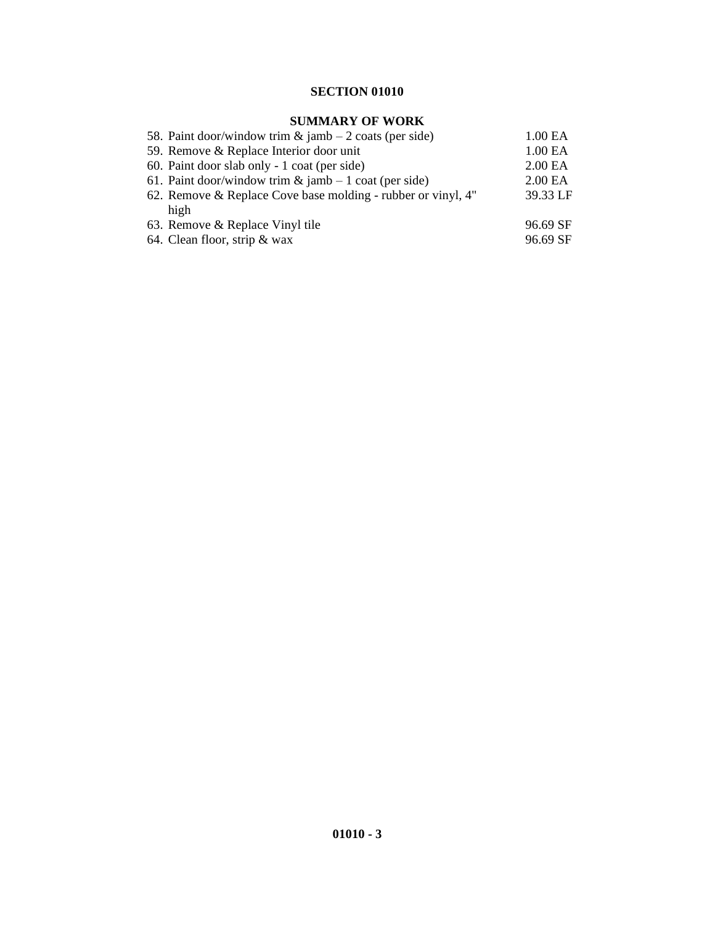## **SUMMARY OF WORK**

| 58. Paint door/window trim $\&$ jamb – 2 coats (per side)    | 1.00 EA             |
|--------------------------------------------------------------|---------------------|
| 59. Remove & Replace Interior door unit                      | 1.00 <sub>E</sub> A |
| 60. Paint door slab only - 1 coat (per side)                 | 2.00 <sub>E</sub> A |
| 61. Paint door/window trim $\&$ jamb – 1 coat (per side)     | 2.00 <sub>E</sub> A |
| 62. Remove & Replace Cove base molding - rubber or vinyl, 4" | 39.33 LF            |
| high                                                         |                     |
| 63. Remove & Replace Vinyl tile                              | 96.69 SF            |
| 64. Clean floor, strip $&$ wax                               | 96.69 SF            |
|                                                              |                     |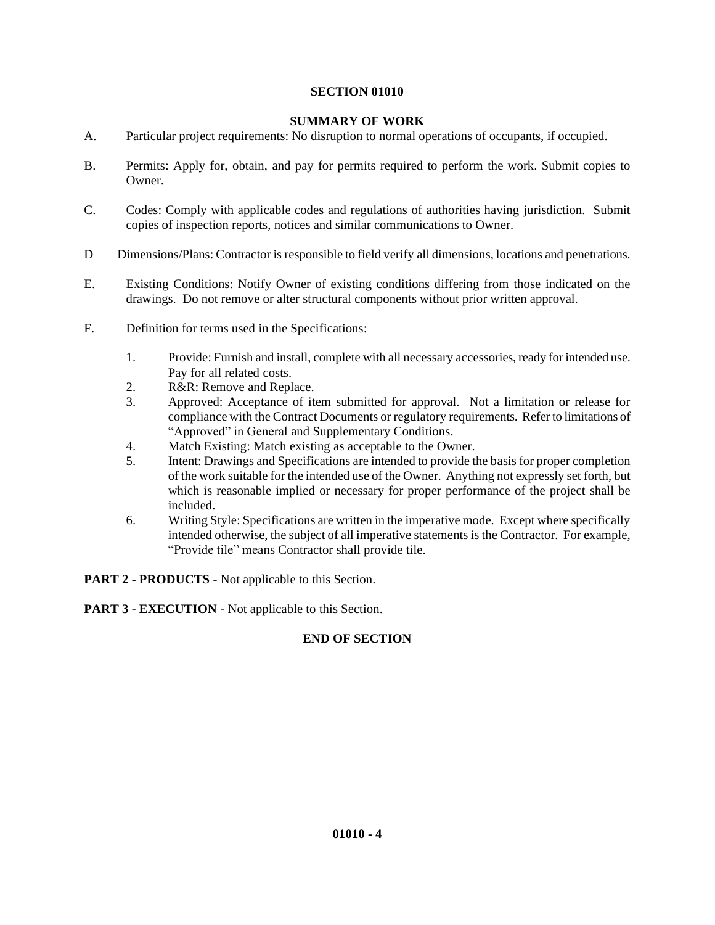#### **SUMMARY OF WORK**

- A. Particular project requirements: No disruption to normal operations of occupants, if occupied.
- B. Permits: Apply for, obtain, and pay for permits required to perform the work. Submit copies to Owner.
- C. Codes: Comply with applicable codes and regulations of authorities having jurisdiction. Submit copies of inspection reports, notices and similar communications to Owner.
- D Dimensions/Plans: Contractor is responsible to field verify all dimensions, locations and penetrations.
- E. Existing Conditions: Notify Owner of existing conditions differing from those indicated on the drawings. Do not remove or alter structural components without prior written approval.
- F. Definition for terms used in the Specifications:
	- 1. Provide: Furnish and install, complete with all necessary accessories, ready for intended use. Pay for all related costs.
	- 2. R&R: Remove and Replace.
	- 3. Approved: Acceptance of item submitted for approval. Not a limitation or release for compliance with the Contract Documents or regulatory requirements. Refer to limitations of "Approved" in General and Supplementary Conditions.
	- 4. Match Existing: Match existing as acceptable to the Owner.
	- 5. Intent: Drawings and Specifications are intended to provide the basis for proper completion of the work suitable for the intended use of the Owner. Anything not expressly set forth, but which is reasonable implied or necessary for proper performance of the project shall be included.
	- 6. Writing Style: Specifications are written in the imperative mode. Except where specifically intended otherwise, the subject of all imperative statements is the Contractor. For example, "Provide tile" means Contractor shall provide tile.

**PART 2 - PRODUCTS** - Not applicable to this Section.

**PART 3 - EXECUTION** - Not applicable to this Section.

#### **END OF SECTION**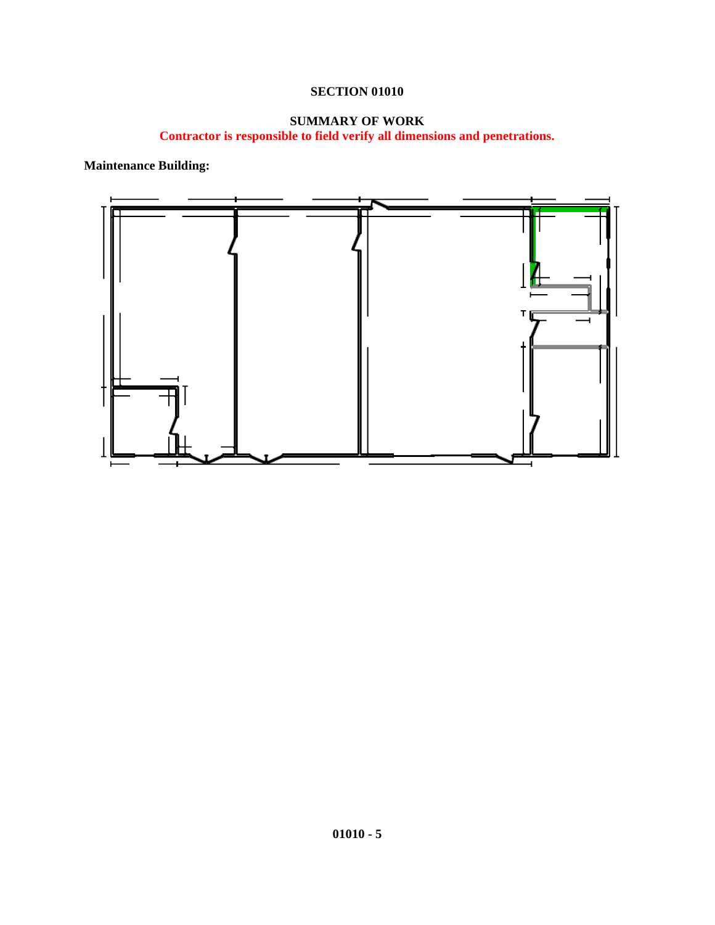## **SUMMARY OF WORK**

**Contractor is responsible to field verify all dimensions and penetrations.**

**Maintenance Building:**

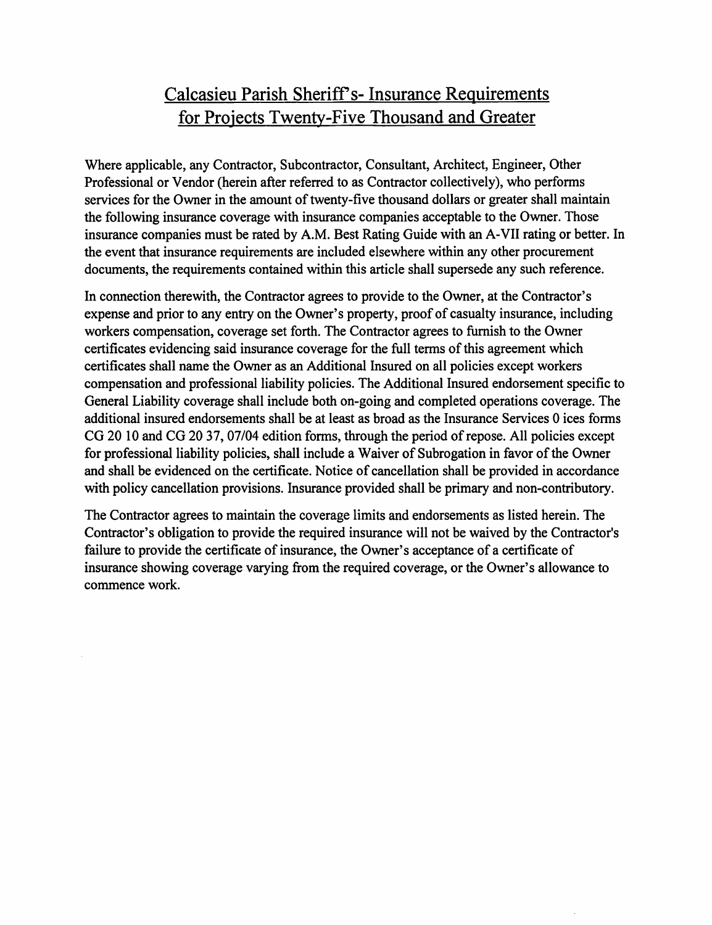## Calcasieu Parish Sheriff's-Insurance Requirements for Projects Twenty-Five Thousand and Greater

Where applicable, any Contractor, Subcontractor, Consultant, Architect, Engineer, Other Professional or Vendor (herein after referred to as Contractor collectively), who performs services for the Owner in the amount of twenty-five thousand dollars or greater shall maintain the following insurance coverage with insurance companies acceptable to the Owner. Those insurance companies must be rated by A.M. Best Rating Guide with an A-VII rating or better. In the event that insurance requirements are included elsewhere within any other procurement documents, the requirements contained within this article shall supersede any such reference.

In connection therewith, the Contractor agrees to provide to the Owner, at the Contractor's expense and prior to any entry on the Owner's property, proof of casualty insurance, including workers compensation, coverage set forth. The Contractor agrees to furnish to the Owner certificates evidencing said insurance coverage for the full terms of this agreement which certificates shall name the Owner as an Additional Insured on all policies except workers compensation and professional liability policies. The Additional Insured endorsement specific to General Liability coverage shall include both on-going and completed operations coverage. The additional insured endorsements shall be at least as broad as the Insurance Services 0 ices forms CG 20 10 and CG 20 37, 07/04 edition forms, through the period of repose. All policies except for professional liability policies, shall include a Waiver of Subrogation in favor of the Owner and shall be evidenced on the certificate. Notice of cancellation shall be provided in accordance with policy cancellation provisions. Insurance provided shall be primary and non-contributory.

The Contractor agrees to maintain the coverage limits and endorsements as listed herein. The Contractor's obligation to provide the required insurance will not be waived by the Contractor's failure to provide the certificate of insurance, the Owner's acceptance of a certificate of insurance showing coverage varying from the required coverage, or the Owner's allowance to commence work.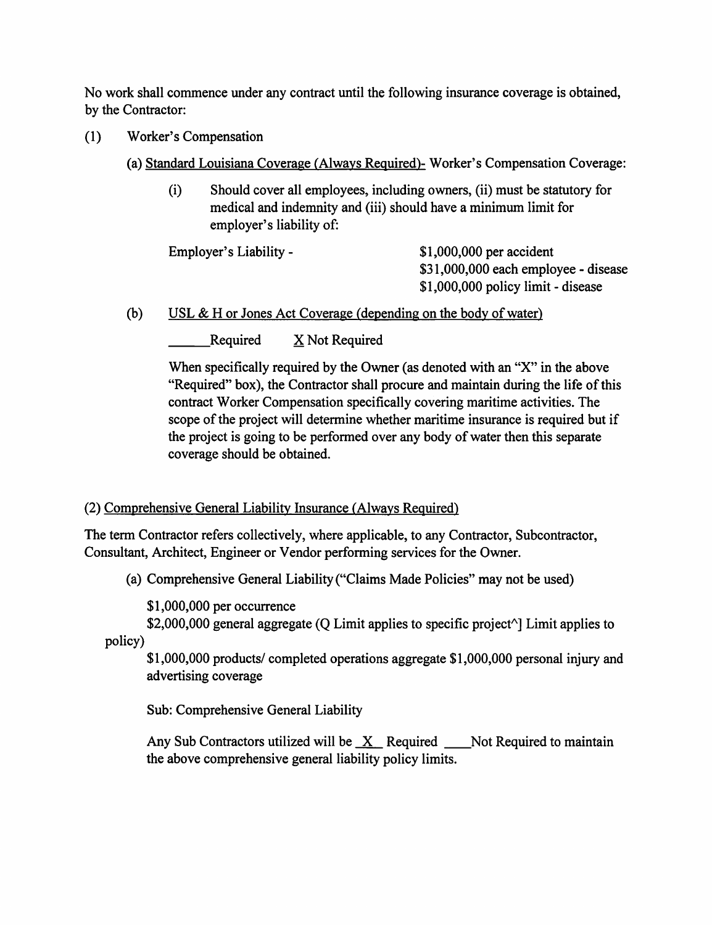No work shall commence under any contract until the following insurance coverage is obtained. by the Contractor:

- $(1)$ **Worker's Compensation** 
	- (a) Standard Louisiana Coverage (Always Required)- Worker's Compensation Coverage:
		- Should cover all employees, including owners, (ii) must be statutory for  $(i)$ medical and indemnity and (iii) should have a minimum limit for employer's liability of:

Employer's Liability -

\$1,000,000 per accident \$31,000,000 each employee - disease \$1,000,000 policy limit - disease

 $(b)$ USL  $\&$  H or Jones Act Coverage (depending on the body of water)

> Required X Not Required

When specifically required by the Owner (as denoted with an "X" in the above "Required" box), the Contractor shall procure and maintain during the life of this contract Worker Compensation specifically covering maritime activities. The scope of the project will determine whether maritime insurance is required but if the project is going to be performed over any body of water then this separate coverage should be obtained.

## (2) Comprehensive General Liability Insurance (Always Required)

The term Contractor refers collectively, where applicable, to any Contractor, Subcontractor, Consultant, Architect, Engineer or Vendor performing services for the Owner.

(a) Comprehensive General Liability ("Claims Made Policies" may not be used)

 $$1,000,000$  per occurrence

\$2,000,000 general aggregate (Q Limit applies to specific project $\land$ ] Limit applies to policy)

\$1,000,000 products/ completed operations aggregate \$1,000,000 personal injury and advertising coverage

Sub: Comprehensive General Liability

Any Sub Contractors utilized will be  $X$  Required Moth Required to maintain the above comprehensive general liability policy limits.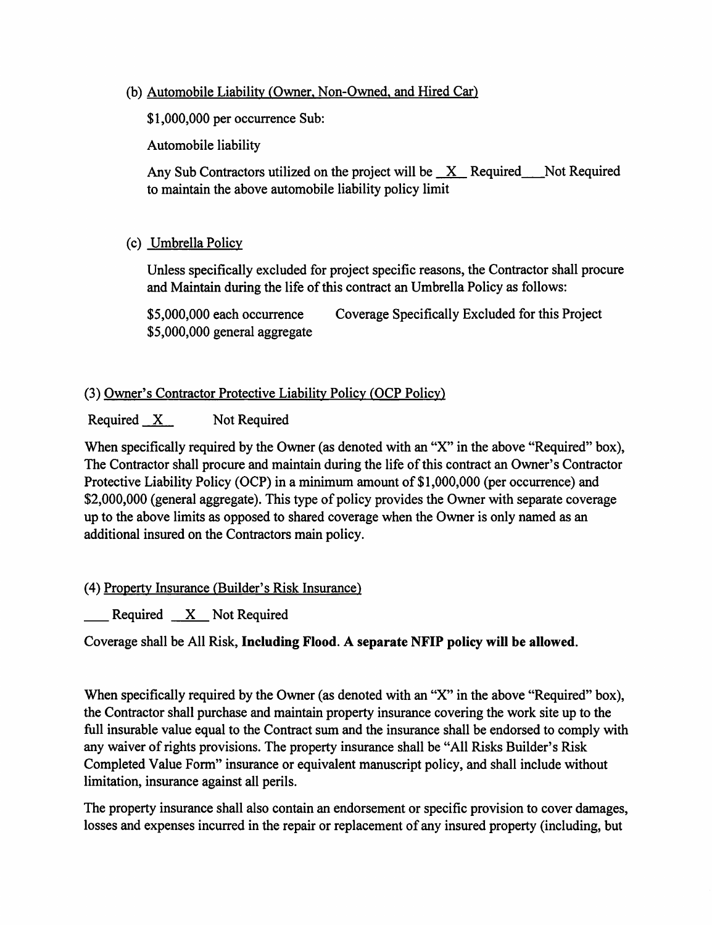(b) Automobile Liability (Owner, Non-Owned, and Hired Car)

\$1,000,000 per occurrence Sub:

Automobile liability

Any Sub Contractors utilized on the project will be  $X$  Required Not Required to maintain the above automobile liability policy limit

(c) Umbrella Policy

Unless specifically excluded for project specific reasons, the Contractor shall procure and Maintain during the life of this contract an Umbrella Policy as follows:

Coverage Specifically Excluded for this Project \$5,000,000 each occurrence \$5,000,000 general aggregate

## (3) Owner's Contractor Protective Liability Policy (OCP Policy)

Required X Not Required

When specifically required by the Owner (as denoted with an "X" in the above "Required" box), The Contractor shall procure and maintain during the life of this contract an Owner's Contractor Protective Liability Policy (OCP) in a minimum amount of \$1,000,000 (per occurrence) and \$2,000,000 (general aggregate). This type of policy provides the Owner with separate coverage up to the above limits as opposed to shared coverage when the Owner is only named as an additional insured on the Contractors main policy.

(4) Property Insurance (Builder's Risk Insurance)

 $\frac{1}{2}$  Required  $\frac{X}{X}$  Not Required

Coverage shall be All Risk, Including Flood. A separate NFIP policy will be allowed.

When specifically required by the Owner (as denoted with an "X" in the above "Required" box), the Contractor shall purchase and maintain property insurance covering the work site up to the full insurable value equal to the Contract sum and the insurance shall be endorsed to comply with any waiver of rights provisions. The property insurance shall be "All Risks Builder's Risk Completed Value Form" insurance or equivalent manuscript policy, and shall include without limitation, insurance against all perils.

The property insurance shall also contain an endorsement or specific provision to cover damages, losses and expenses incurred in the repair or replacement of any insured property (including, but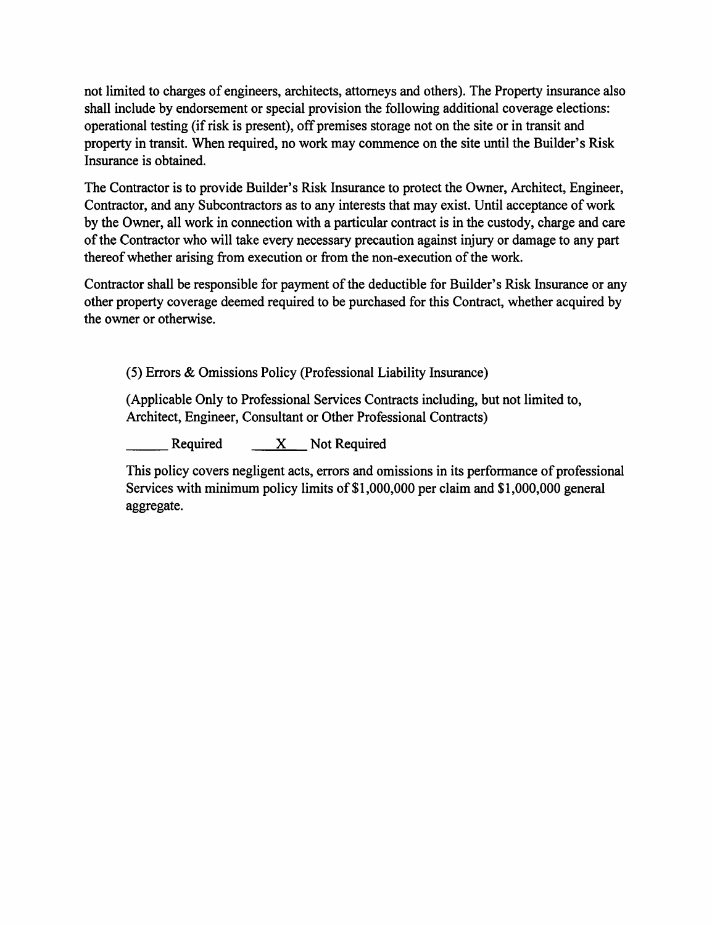not limited to charges of engineers, architects, attorneys and others). The Property insurance also shall include by endorsement or special provision the following additional coverage elections: operational testing (if risk is present), off premises storage not on the site or in transit and property in transit. When required, no work may commence on the site until the Builder's Risk Insurance is obtained.

The Contractor is to provide Builder's Risk Insurance to protect the Owner, Architect, Engineer, Contractor, and any Subcontractors as to any interests that may exist. Until acceptance of work by the Owner, all work in connection with a particular contract is in the custody, charge and care of the Contractor who will take every necessary precaution against injury or damage to any part thereof whether arising from execution or from the non-execution of the work.

Contractor shall be responsible for payment of the deductible for Builder's Risk Insurance or any other property coverage deemed required to be purchased for this Contract, whether acquired by the owner or otherwise.

(5) Errors & Omissions Policy (Professional Liability Insurance)

(Applicable Only to Professional Services Contracts including, but not limited to, Architect, Engineer, Consultant or Other Professional Contracts)

X \_\_ Not Required Required

This policy covers negligent acts, errors and omissions in its performance of professional Services with minimum policy limits of \$1,000,000 per claim and \$1,000,000 general aggregate.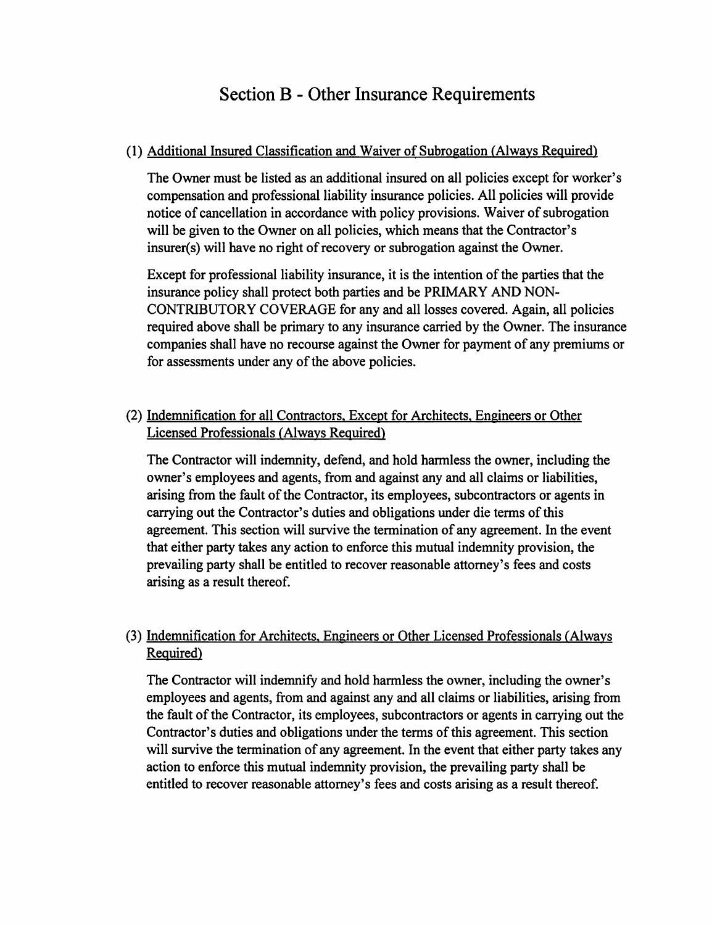## **Section B - Other Insurance Requirements**

## (1) Additional Insured Classification and Waiver of Subrogation (Always Required)

The Owner must be listed as an additional insured on all policies except for worker's compensation and professional liability insurance policies. All policies will provide notice of cancellation in accordance with policy provisions. Waiver of subrogation will be given to the Owner on all policies, which means that the Contractor's insurer(s) will have no right of recovery or subrogation against the Owner.

Except for professional liability insurance, it is the intention of the parties that the insurance policy shall protect both parties and be PRIMARY AND NON-CONTRIBUTORY COVERAGE for any and all losses covered. Again, all policies required above shall be primary to any insurance carried by the Owner. The insurance companies shall have no recourse against the Owner for payment of any premiums or for assessments under any of the above policies.

## (2) Indemnification for all Contractors, Except for Architects, Engineers or Other Licensed Professionals (Always Required)

The Contractor will indemnity, defend, and hold harmless the owner, including the owner's employees and agents, from and against any and all claims or liabilities, arising from the fault of the Contractor, its employees, subcontractors or agents in carrying out the Contractor's duties and obligations under die terms of this agreement. This section will survive the termination of any agreement. In the event that either party takes any action to enforce this mutual indemnity provision, the prevailing party shall be entitled to recover reasonable attorney's fees and costs arising as a result thereof.

## (3) Indemnification for Architects, Engineers or Other Licensed Professionals (Always) Required)

The Contractor will indemnify and hold harmless the owner, including the owner's employees and agents, from and against any and all claims or liabilities, arising from the fault of the Contractor, its employees, subcontractors or agents in carrying out the Contractor's duties and obligations under the terms of this agreement. This section will survive the termination of any agreement. In the event that either party takes any action to enforce this mutual indemnity provision, the prevailing party shall be entitled to recover reasonable attorney's fees and costs arising as a result thereof.